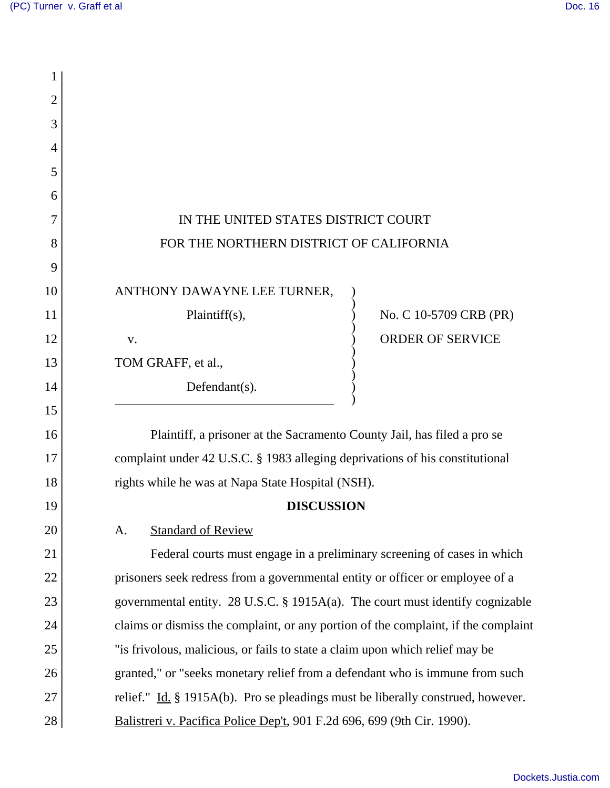| 2  |                                                                                    |
|----|------------------------------------------------------------------------------------|
| 3  |                                                                                    |
| 4  |                                                                                    |
| 5  |                                                                                    |
| 6  |                                                                                    |
| 7  | IN THE UNITED STATES DISTRICT COURT                                                |
| 8  | FOR THE NORTHERN DISTRICT OF CALIFORNIA                                            |
| 9  |                                                                                    |
| 10 | ANTHONY DAWAYNE LEE TURNER,                                                        |
| 11 | No. C 10-5709 CRB (PR)<br>Plaintiff $(s)$ ,                                        |
| 12 | <b>ORDER OF SERVICE</b><br>V.                                                      |
| 13 | TOM GRAFF, et al.,                                                                 |
| 14 | Defendant(s).                                                                      |
| 15 |                                                                                    |
| 16 | Plaintiff, a prisoner at the Sacramento County Jail, has filed a pro se            |
| 17 | complaint under 42 U.S.C. § 1983 alleging deprivations of his constitutional       |
| 18 | rights while he was at Napa State Hospital (NSH).                                  |
| 19 | <b>DISCUSSION</b>                                                                  |
| 20 | <b>Standard of Review</b><br>A.                                                    |
| 21 | Federal courts must engage in a preliminary screening of cases in which            |
| 22 | prisoners seek redress from a governmental entity or officer or employee of a      |
| 23 | governmental entity. 28 U.S.C. § 1915A(a). The court must identify cognizable      |
| 24 | claims or dismiss the complaint, or any portion of the complaint, if the complaint |
| 25 | "is frivolous, malicious, or fails to state a claim upon which relief may be       |
| 26 | granted," or "seeks monetary relief from a defendant who is immune from such       |
| 27 | relief." Id. $\S$ 1915A(b). Pro se pleadings must be liberally construed, however. |
| 28 | Balistreri v. Pacifica Police Dep't, 901 F.2d 696, 699 (9th Cir. 1990).            |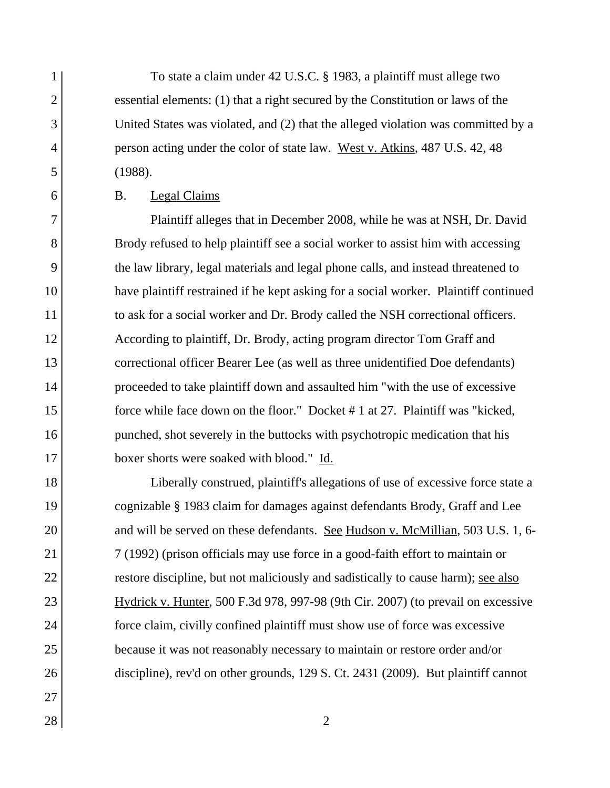To state a claim under 42 U.S.C. § 1983, a plaintiff must allege two essential elements: (1) that a right secured by the Constitution or laws of the United States was violated, and (2) that the alleged violation was committed by a person acting under the color of state law. West v. Atkins, 487 U.S. 42, 48 (1988).

B. Legal Claims

1

2

3

4

5

6

7

8

9

10

11

12

13

14

15

16

17

18

19

20

21

22

23

24

25

26

27

Plaintiff alleges that in December 2008, while he was at NSH, Dr. David Brody refused to help plaintiff see a social worker to assist him with accessing the law library, legal materials and legal phone calls, and instead threatened to have plaintiff restrained if he kept asking for a social worker. Plaintiff continued to ask for a social worker and Dr. Brody called the NSH correctional officers. According to plaintiff, Dr. Brody, acting program director Tom Graff and correctional officer Bearer Lee (as well as three unidentified Doe defendants) proceeded to take plaintiff down and assaulted him "with the use of excessive force while face down on the floor." Docket # 1 at 27. Plaintiff was "kicked, punched, shot severely in the buttocks with psychotropic medication that his boxer shorts were soaked with blood." Id.

Liberally construed, plaintiff's allegations of use of excessive force state a cognizable § 1983 claim for damages against defendants Brody, Graff and Lee and will be served on these defendants. See Hudson v. McMillian, 503 U.S. 1, 6- 7 (1992) (prison officials may use force in a good-faith effort to maintain or restore discipline, but not maliciously and sadistically to cause harm); <u>see also</u> Hydrick v. Hunter, 500 F.3d 978, 997-98 (9th Cir. 2007) (to prevail on excessive force claim, civilly confined plaintiff must show use of force was excessive because it was not reasonably necessary to maintain or restore order and/or discipline), rev'd on other grounds, 129 S. Ct. 2431 (2009). But plaintiff cannot

 $28$  | 2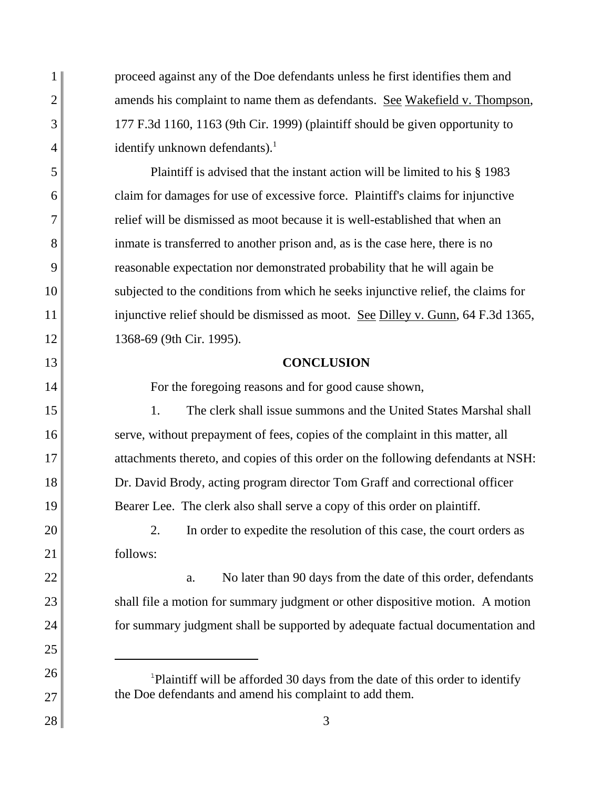proceed against any of the Doe defendants unless he first identifies them and amends his complaint to name them as defendants. See Wakefield v. Thompson, 177 F.3d 1160, 1163 (9th Cir. 1999) (plaintiff should be given opportunity to identify unknown defendants). $<sup>1</sup>$ </sup>

1

2

3

4

5

6

7

8

9

10

11

12

13

14

15

16

17

18

19

20

21

22

23

24

25

26

27

28

Plaintiff is advised that the instant action will be limited to his § 1983 claim for damages for use of excessive force. Plaintiff's claims for injunctive relief will be dismissed as moot because it is well-established that when an inmate is transferred to another prison and, as is the case here, there is no reasonable expectation nor demonstrated probability that he will again be subjected to the conditions from which he seeks injunctive relief, the claims for injunctive relief should be dismissed as moot. <u>See Dilley v. Gunn</u>, 64 F.3d 1365, 1368-69 (9th Cir. 1995).

## **CONCLUSION**

For the foregoing reasons and for good cause shown,

1. The clerk shall issue summons and the United States Marshal shall serve, without prepayment of fees, copies of the complaint in this matter, all attachments thereto, and copies of this order on the following defendants at NSH: Dr. David Brody, acting program director Tom Graff and correctional officer Bearer Lee. The clerk also shall serve a copy of this order on plaintiff.

2. In order to expedite the resolution of this case, the court orders as follows:

a. No later than 90 days from the date of this order, defendants shall file a motion for summary judgment or other dispositive motion. A motion for summary judgment shall be supported by adequate factual documentation and

<sup>&</sup>lt;sup>1</sup>Plaintiff will be afforded 30 days from the date of this order to identify the Doe defendants and amend his complaint to add them.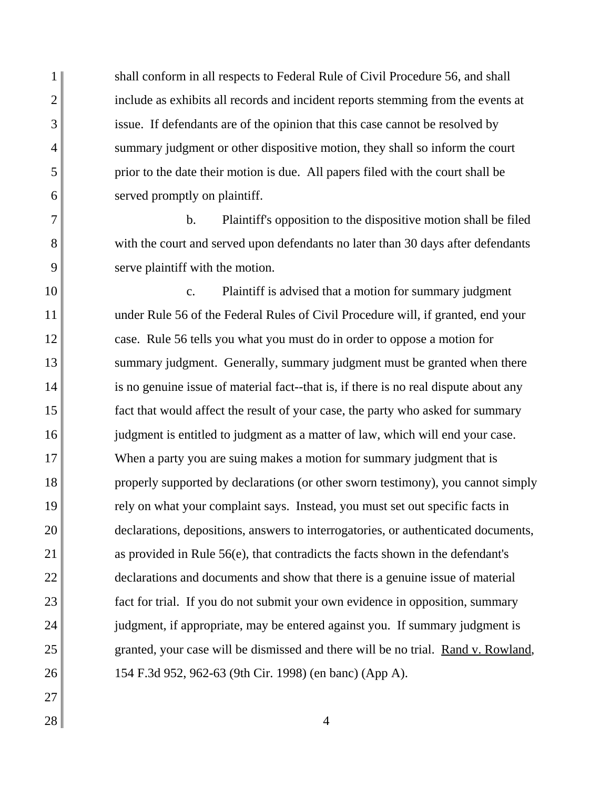shall conform in all respects to Federal Rule of Civil Procedure 56, and shall include as exhibits all records and incident reports stemming from the events at issue. If defendants are of the opinion that this case cannot be resolved by summary judgment or other dispositive motion, they shall so inform the court prior to the date their motion is due. All papers filed with the court shall be served promptly on plaintiff.

b. Plaintiff's opposition to the dispositive motion shall be filed with the court and served upon defendants no later than 30 days after defendants serve plaintiff with the motion.

10 11 12 13 14 15 16 17 18 19 20 21 22 23 24 25 26 c. Plaintiff is advised that a motion for summary judgment under Rule 56 of the Federal Rules of Civil Procedure will, if granted, end your case. Rule 56 tells you what you must do in order to oppose a motion for summary judgment. Generally, summary judgment must be granted when there is no genuine issue of material fact--that is, if there is no real dispute about any fact that would affect the result of your case, the party who asked for summary judgment is entitled to judgment as a matter of law, which will end your case. When a party you are suing makes a motion for summary judgment that is properly supported by declarations (or other sworn testimony), you cannot simply rely on what your complaint says. Instead, you must set out specific facts in declarations, depositions, answers to interrogatories, or authenticated documents, as provided in Rule 56(e), that contradicts the facts shown in the defendant's declarations and documents and show that there is a genuine issue of material fact for trial. If you do not submit your own evidence in opposition, summary judgment, if appropriate, may be entered against you. If summary judgment is granted, your case will be dismissed and there will be no trial. Rand v. Rowland, 154 F.3d 952, 962-63 (9th Cir. 1998) (en banc) (App A).

27

1

2

3

4

5

6

7

8

9

 $28 \parallel$  4